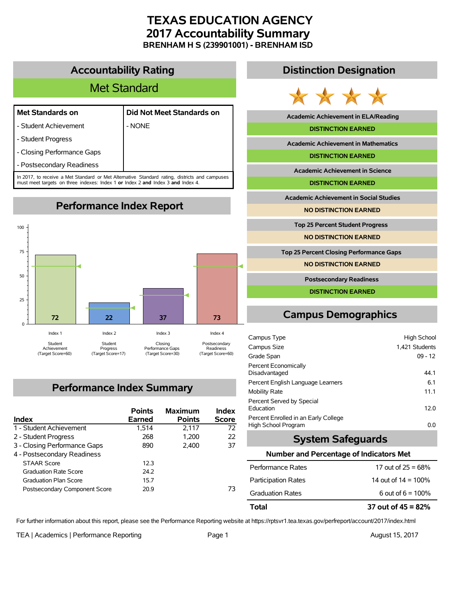## **TEXAS EDUCATION AGENCY 2017 Accountability Summary BRENHAM H S (239901001) - BRENHAM ISD**

**Accountability Rating**

# Met Standard

- Student Achievement | NONE
- **Met Standards on Did Not Meet Standards on**
- Student Progress
- Closing Performance Gaps
- Postsecondary Readiness

In 2017, to receive a Met Standard or Met Alternative Standard rating, districts and campuses must meet targets on three indexes: Index 1 **or** Index 2 **and** Index 3 **and** Index 4.

**Performance Index Report**



# **Performance Index Summary**

| Index                         | <b>Points</b><br>Earned | <b>Maximum</b><br><b>Points</b> | Index<br><b>Score</b> |
|-------------------------------|-------------------------|---------------------------------|-----------------------|
| 1 - Student Achievement       | 1.514                   | 2.117                           | 72                    |
| 2 - Student Progress          | 268                     | 1.200                           | 22                    |
| 3 - Closing Performance Gaps  | 890                     | 2.400                           | 37                    |
| 4 - Postsecondary Readiness   |                         |                                 |                       |
| <b>STAAR Score</b>            | 12.3                    |                                 |                       |
| <b>Graduation Rate Score</b>  | 24.2                    |                                 |                       |
| <b>Graduation Plan Score</b>  | 157                     |                                 |                       |
| Postsecondary Component Score | 20.9                    |                                 | 73                    |

### **Distinction Designation**



**Academic Achievement in ELA/Reading**

#### **DISTINCTION EARNED**

**Academic Achievement in Mathematics**

**DISTINCTION EARNED**

**Academic Achievement in Science**

**DISTINCTION EARNED**

**Academic Achievement in Social Studies**

**NO DISTINCTION EARNED**

**Top 25 Percent Student Progress**

**NO DISTINCTION EARNED**

**Top 25 Percent Closing Performance Gaps**

**NO DISTINCTION EARNED**

**Postsecondary Readiness**

**DISTINCTION EARNED**

# **Campus Demographics**

| Campus Type                                                 | High School    |
|-------------------------------------------------------------|----------------|
| Campus Size                                                 | 1,421 Students |
| Grade Span                                                  | $09 - 12$      |
| Percent Economically<br>Disadvantaged                       | 44.1           |
| Percent English Language Learners                           | 6.1            |
| Mobility Rate                                               | 11.1           |
| Percent Served by Special<br>Education                      | 12.0           |
| Percent Enrolled in an Early College<br>High School Program | 0.0            |

### **System Safeguards**

#### **Number and Percentage of Indicators Met**

| Total                      | 37 out of $45 = 82%$   |
|----------------------------|------------------------|
| <b>Graduation Rates</b>    | 6 out of $6 = 100\%$   |
| <b>Participation Rates</b> | 14 out of $14 = 100\%$ |
| Performance Rates          | 17 out of $25 = 68\%$  |

For further information about this report, please see the Performance Reporting website at https://rptsvr1.tea.texas.gov/perfreport/account/2017/index.html

TEA | Academics | Performance Reporting Page 1 August 15, 2017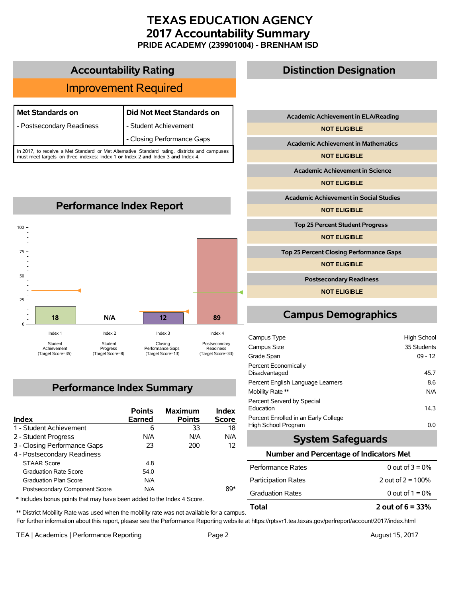### **TEXAS EDUCATION AGENCY 2017 Accountability Summary PRIDE ACADEMY (239901004) - BRENHAM ISD**

| <b>Improvement Required</b>                                                                  |                            |  |
|----------------------------------------------------------------------------------------------|----------------------------|--|
|                                                                                              |                            |  |
| Met Standards on                                                                             | Did Not Meet Standards on  |  |
| - Postsecondary Readiness                                                                    | - Student Achievement      |  |
|                                                                                              | - Closing Performance Gaps |  |
| In 2017, to receive a Met Standard or Met Alternative Standard rating, districts and campuse |                            |  |

**Accountability Rating**

In 2017, to receive a Met Standard or Met Alternative Standard rating, districts and campuses must meet targets on three indexes: Index 1 **or** Index 2 **and** Index 3 **and** Index 4.



## **Performance Index Summary**

| <b>Index</b>                  | <b>Points</b><br><b>Earned</b> | <b>Maximum</b><br><b>Points</b> | Index<br><b>Score</b> |
|-------------------------------|--------------------------------|---------------------------------|-----------------------|
| 1 - Student Achievement       | 6                              | 33                              | 18                    |
| 2 - Student Progress          | N/A                            | N/A                             | N/A                   |
| 3 - Closing Performance Gaps  | 23                             | 200                             | 12                    |
| 4 - Postsecondary Readiness   |                                |                                 |                       |
| <b>STAAR Score</b>            | 4.8                            |                                 |                       |
| <b>Graduation Rate Score</b>  | 54 0                           |                                 |                       |
| <b>Graduation Plan Score</b>  | N/A                            |                                 |                       |
| Postsecondary Component Score | N/A                            |                                 | 89*                   |

\* Includes bonus points that may have been added to the Index 4 Score.

# **Distinction Designation**

**Academic Achievement in ELA/Reading**

**NOT ELIGIBLE**

**Academic Achievement in Mathematics**

**NOT ELIGIBLE**

**Academic Achievement in Science**

**NOT ELIGIBLE**

**Academic Achievement in Social Studies**

**NOT ELIGIBLE**

**Top 25 Percent Student Progress**

**NOT ELIGIBLE**

**Top 25 Percent Closing Performance Gaps**

**NOT ELIGIBLE**

**Postsecondary Readiness**

**NOT ELIGIBLE**

# **Campus Demographics**

| Campus Type                                                 | High School |
|-------------------------------------------------------------|-------------|
| Campus Size                                                 | 35 Students |
| Grade Span                                                  | $09 - 12$   |
| Percent Economically<br>Disadvantaged                       | 45.7        |
| Percent English Language Learners                           | 8.6         |
| Mobility Rate **                                            | N/A         |
| Percent Serverd by Special<br>Education                     | 14.3        |
| Percent Enrolled in an Early College<br>High School Program | 0.0         |

### **System Safeguards**

#### **Number and Percentage of Indicators Met**

| Total                      | 2 out of $6 = 33%$   |
|----------------------------|----------------------|
| <b>Graduation Rates</b>    | 0 out of $1 = 0\%$   |
| <b>Participation Rates</b> | 2 out of $2 = 100\%$ |
| Performance Rates          | 0 out of $3 = 0\%$   |

\*\* District Mobility Rate was used when the mobility rate was not available for a campus. For further information about this report, please see the Performance Reporting website at https://rptsvr1.tea.texas.gov/perfreport/account/2017/index.html

TEA | Academics | Performance Reporting Page 2 August 15, 2017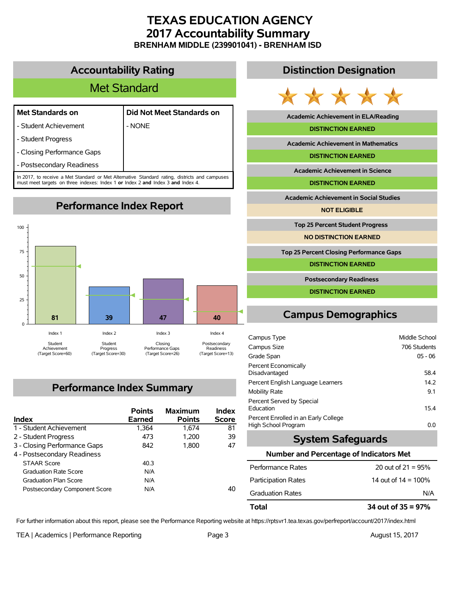### **TEXAS EDUCATION AGENCY 2017 Accountability Summary BRENHAM MIDDLE (239901041) - BRENHAM ISD**

### **Accountability Rating**

# Met Standard

### **Met Standards on Did Not Meet Standards on**

- Student Achievement | NONE
- 
- Student Progress
- Closing Performance Gaps
- Postsecondary Readiness

In 2017, to receive a Met Standard or Met Alternative Standard rating, districts and campuses must meet targets on three indexes: Index 1 **or** Index 2 **and** Index 3 **and** Index 4.

**Performance Index Report**



# **Performance Index Summary**

| <b>Index</b>                  | <b>Points</b><br>Earned | <b>Maximum</b><br><b>Points</b> | Index<br><b>Score</b> |
|-------------------------------|-------------------------|---------------------------------|-----------------------|
| 1 - Student Achievement       | 1,364                   | 1.674                           | 81                    |
| 2 - Student Progress          | 473                     | 1.200                           | 39                    |
| 3 - Closing Performance Gaps  | 842                     | 1.800                           | 47                    |
| 4 - Postsecondary Readiness   |                         |                                 |                       |
| <b>STAAR Score</b>            | 40.3                    |                                 |                       |
| <b>Graduation Rate Score</b>  | N/A                     |                                 |                       |
| <b>Graduation Plan Score</b>  | N/A                     |                                 |                       |
| Postsecondary Component Score | N/A                     |                                 | 40                    |

### **Distinction Designation**



**Academic Achievement in ELA/Reading**

#### **DISTINCTION EARNED**

**Academic Achievement in Mathematics**

**DISTINCTION EARNED**

**Academic Achievement in Science**

**DISTINCTION EARNED**

**Academic Achievement in Social Studies**

**NOT ELIGIBLE**

**Top 25 Percent Student Progress**

**NO DISTINCTION EARNED**

**Top 25 Percent Closing Performance Gaps**

**DISTINCTION EARNED**

**Postsecondary Readiness**

**DISTINCTION EARNED**

# **Campus Demographics**

| Campus Type                                                 | Middle School |
|-------------------------------------------------------------|---------------|
| Campus Size                                                 | 706 Students  |
| Grade Span                                                  | $05 - 06$     |
| Percent Economically<br>Disadvantaged                       | 58.4          |
| Percent English Language Learners                           | 14.2          |
| Mobility Rate                                               | 9.1           |
| Percent Served by Special<br>Education                      | 15.4          |
| Percent Enrolled in an Early College<br>High School Program | 0.0           |

### **System Safeguards**

#### **Number and Percentage of Indicators Met**

| Total                      | 34 out of $35 = 97\%$  |
|----------------------------|------------------------|
| <b>Graduation Rates</b>    | N/A                    |
| <b>Participation Rates</b> | 14 out of $14 = 100\%$ |
| Performance Rates          | 20 out of $21 = 95%$   |

For further information about this report, please see the Performance Reporting website at https://rptsvr1.tea.texas.gov/perfreport/account/2017/index.html

TEA | Academics | Performance Reporting Page 3 August 15, 2017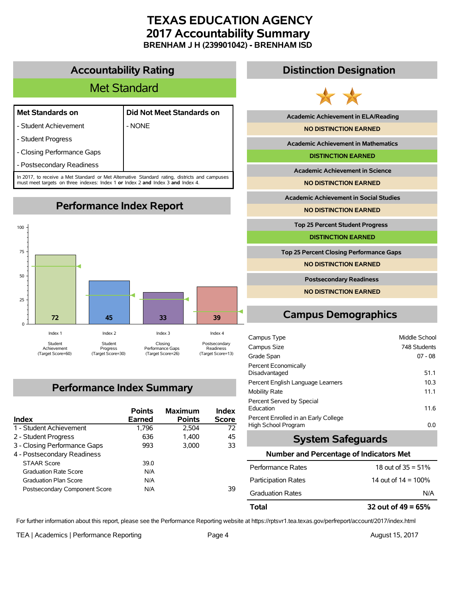### **TEXAS EDUCATION AGENCY 2017 Accountability Summary BRENHAM J H (239901042) - BRENHAM ISD**

### **Accountability Rating**

# Met Standard

### **Met Standards on Did Not Meet Standards on**

- Student Achievement | NONE
- 
- Student Progress
- Closing Performance Gaps
- Postsecondary Readiness

In 2017, to receive a Met Standard or Met Alternative Standard rating, districts and campuses must meet targets on three indexes: Index 1 **or** Index 2 **and** Index 3 **and** Index 4.

**Performance Index Report**



# **Performance Index Summary**

| <b>Index</b>                  | <b>Points</b><br>Earned | <b>Maximum</b><br><b>Points</b> | Index<br><b>Score</b> |
|-------------------------------|-------------------------|---------------------------------|-----------------------|
| 1 - Student Achievement       | 1,796                   | 2.504                           | 72                    |
| 2 - Student Progress          | 636                     | 1.400                           | 45                    |
| 3 - Closing Performance Gaps  | 993                     | 3.000                           | 33                    |
| 4 - Postsecondary Readiness   |                         |                                 |                       |
| <b>STAAR Score</b>            | 39.0                    |                                 |                       |
| <b>Graduation Rate Score</b>  | N/A                     |                                 |                       |
| <b>Graduation Plan Score</b>  | N/A                     |                                 |                       |
| Postsecondary Component Score | N/A                     |                                 | 39                    |

### **Distinction Designation**



**Academic Achievement in ELA/Reading**

**NO DISTINCTION EARNED**

**Academic Achievement in Mathematics**

**DISTINCTION EARNED**

**Academic Achievement in Science**

**NO DISTINCTION EARNED**

**Academic Achievement in Social Studies**

**NO DISTINCTION EARNED**

**Top 25 Percent Student Progress**

**DISTINCTION EARNED**

**Top 25 Percent Closing Performance Gaps**

**NO DISTINCTION EARNED**

**Postsecondary Readiness**

**NO DISTINCTION EARNED**

# **Campus Demographics**

| Campus Type                                                 | Middle School |
|-------------------------------------------------------------|---------------|
| Campus Size                                                 | 748 Students  |
| Grade Span                                                  | $07 - 08$     |
| Percent Economically<br>Disadvantaged                       | 51.1          |
| Percent English Language Learners                           | 10.3          |
| Mobility Rate                                               | 11.1          |
| Percent Served by Special<br>Education                      | 11.6          |
| Percent Enrolled in an Early College<br>High School Program | 0.0           |

### **System Safeguards**

#### **Number and Percentage of Indicators Met**

| Total                      | 32 out of $49 = 65%$   |
|----------------------------|------------------------|
| <b>Graduation Rates</b>    | N/A                    |
| <b>Participation Rates</b> | 14 out of $14 = 100\%$ |
| Performance Rates          | 18 out of $35 = 51\%$  |

For further information about this report, please see the Performance Reporting website at https://rptsvr1.tea.texas.gov/perfreport/account/2017/index.html

TEA | Academics | Performance Reporting Page 4 August 15, 2017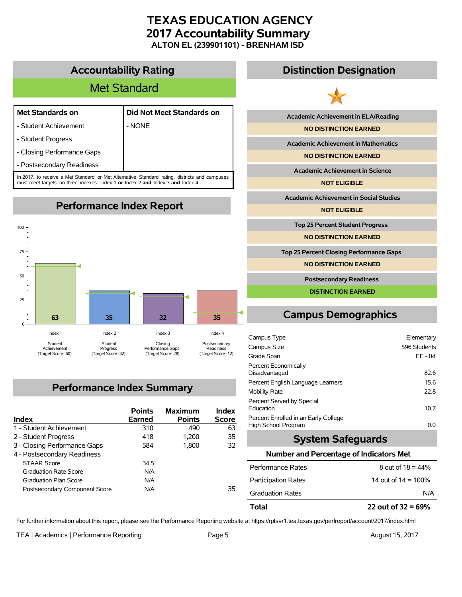## **TEXAS EDUCATION AGENCY 2017 Accountability Summary ALTON EL (239901101) - BRENHAM ISD**

**Accountability Rating**

# Met Standard

### **Met Standards on Did Not Meet Standards on**

- Student Achievement | NONE

- Student Progress

- Closing Performance Gaps

- Postsecondary Readiness

In 2017, to receive a Met Standard or Met Alternative Standard rating, districts and campuses must meet targets on three indexes: Index 1 **or** Index 2 **and** Index 3 **and** Index 4.

**Performance Index Report**



# **Performance Index Summary**

| <b>Index</b>                  | <b>Points</b><br>Earned | <b>Maximum</b><br><b>Points</b> | Index<br><b>Score</b> |
|-------------------------------|-------------------------|---------------------------------|-----------------------|
| 1 - Student Achievement       | 310                     | 490                             | 63                    |
| 2 - Student Progress          | 418                     | 1.200                           | 35                    |
| 3 - Closing Performance Gaps  | 584                     | 1.800                           | 32                    |
| 4 - Postsecondary Readiness   |                         |                                 |                       |
| <b>STAAR Score</b>            | 34.5                    |                                 |                       |
| <b>Graduation Rate Score</b>  | N/A                     |                                 |                       |
| <b>Graduation Plan Score</b>  | N/A                     |                                 |                       |
| Postsecondary Component Score | N/A                     |                                 | 35                    |

## **Distinction Designation**



**Academic Achievement in ELA/Reading**

**NO DISTINCTION EARNED**

**Academic Achievement in Mathematics**

**NO DISTINCTION EARNED**

**Academic Achievement in Science**

**NOT ELIGIBLE**

**Academic Achievement in Social Studies**

**NOT ELIGIBLE**

**Top 25 Percent Student Progress**

**NO DISTINCTION EARNED**

**Top 25 Percent Closing Performance Gaps**

**NO DISTINCTION EARNED**

**Postsecondary Readiness**

**DISTINCTION EARNED**

# **Campus Demographics**

| Campus Type                                                 | Elementary   |
|-------------------------------------------------------------|--------------|
| Campus Size                                                 | 596 Students |
| Grade Span                                                  | EE-04        |
| Percent Economically<br>Disadvantaged                       | 82.6         |
| Percent English Language Learners                           | 15.6         |
| Mobility Rate                                               | 22.8         |
| Percent Served by Special<br>Education                      | 10.7         |
| Percent Enrolled in an Early College<br>High School Program | 0.0          |

### **System Safeguards**

#### **Number and Percentage of Indicators Met**

For further information about this report, please see the Performance Reporting website at https://rptsvr1.tea.texas.gov/perfreport/account/2017/index.html

TEA | Academics | Performance Reporting Page 5 August 15, 2017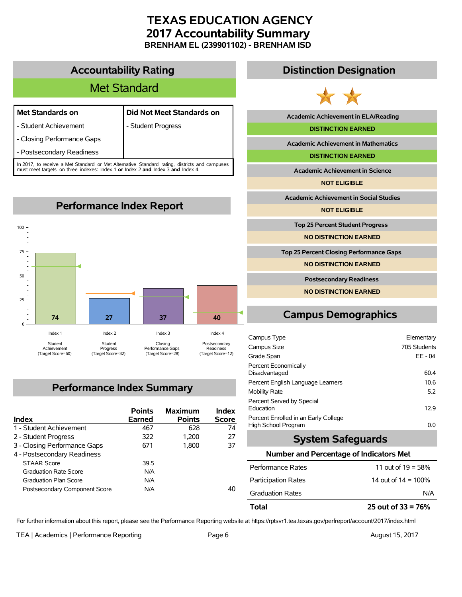## **TEXAS EDUCATION AGENCY 2017 Accountability Summary BRENHAM EL (239901102) - BRENHAM ISD**

### **Accountability Rating**

# Met Standard

| <b>Met Standards on</b>    | Did Not Meet Standards on |
|----------------------------|---------------------------|
| - Student Achievement      | - Student Progress        |
| - Closing Performance Gaps |                           |
| - Postsecondary Readiness  |                           |

In 2017, to receive a Met Standard or Met Alternative Standard rating, districts and campuses must meet targets on three indexes: Index 1 **or** Index 2 **and** Index 3 **and** Index 4.



## **Performance Index Summary**

| <b>Index</b>                  | <b>Points</b><br>Earned | <b>Maximum</b><br><b>Points</b> | Index<br><b>Score</b> |
|-------------------------------|-------------------------|---------------------------------|-----------------------|
| 1 - Student Achievement       | 467                     | 628                             | 74                    |
| 2 - Student Progress          | 322                     | 1.200                           | 27                    |
| 3 - Closing Performance Gaps  | 671                     | 1.800                           | 37                    |
| 4 - Postsecondary Readiness   |                         |                                 |                       |
| <b>STAAR Score</b>            | 39.5                    |                                 |                       |
| <b>Graduation Rate Score</b>  | N/A                     |                                 |                       |
| <b>Graduation Plan Score</b>  | N/A                     |                                 |                       |
| Postsecondary Component Score | N/A                     |                                 | 40                    |

### **Distinction Designation**



**Academic Achievement in ELA/Reading**

#### **DISTINCTION EARNED**

**Academic Achievement in Mathematics**

**DISTINCTION EARNED**

**Academic Achievement in Science**

**NOT ELIGIBLE**

**Academic Achievement in Social Studies**

**NOT ELIGIBLE**

**Top 25 Percent Student Progress**

**NO DISTINCTION EARNED**

**Top 25 Percent Closing Performance Gaps**

**NO DISTINCTION EARNED**

**Postsecondary Readiness**

**NO DISTINCTION EARNED**

# **Campus Demographics**

| Campus Type                                                 | Elementary   |
|-------------------------------------------------------------|--------------|
| Campus Size                                                 | 705 Students |
| Grade Span                                                  | EE - 04      |
| Percent Economically<br>Disadvantaged                       | 60.4         |
| Percent English Language Learners                           | 10.6         |
| Mobility Rate                                               | 5.2          |
| Percent Served by Special<br>Education                      | 129          |
| Percent Enrolled in an Early College<br>High School Program | 0.0          |

### **System Safeguards**

#### **Number and Percentage of Indicators Met**

| Total                      | 25 out of $33 = 76\%$  |
|----------------------------|------------------------|
| <b>Graduation Rates</b>    | N/A                    |
| <b>Participation Rates</b> | 14 out of $14 = 100\%$ |
| Performance Rates          | 11 out of $19 = 58\%$  |

For further information about this report, please see the Performance Reporting website at https://rptsvr1.tea.texas.gov/perfreport/account/2017/index.html

TEA | Academics | Performance Reporting Page 6 August 15, 2017